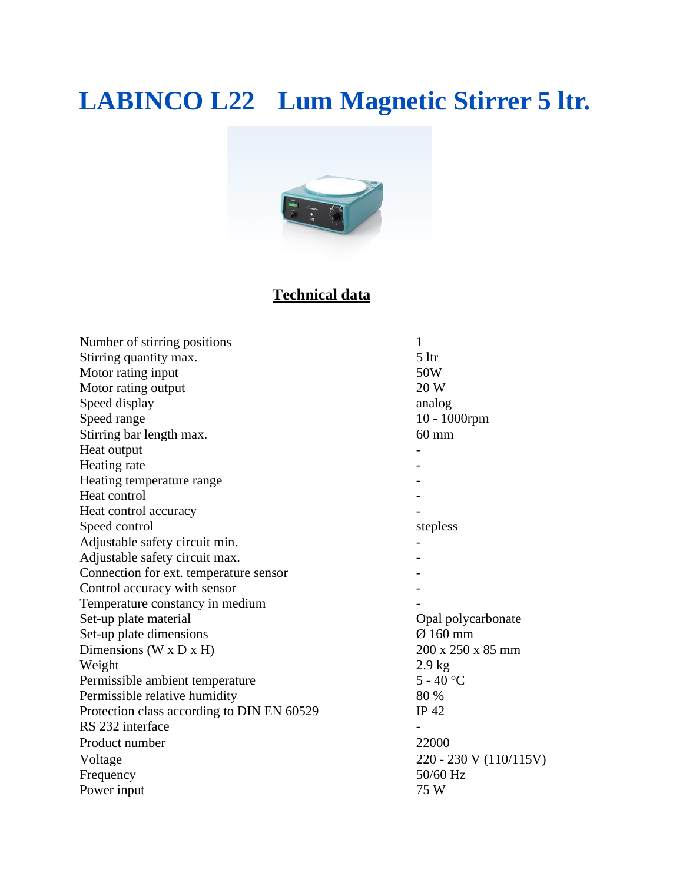# **LABINCO L22 Lum Magnetic Stirrer 5 ltr.**



### **Technical data**

| Number of stirring positions               | 1                      |
|--------------------------------------------|------------------------|
| Stirring quantity max.                     | 5 <sup>1</sup>         |
| Motor rating input                         | 50W                    |
| Motor rating output                        | 20 W                   |
| Speed display                              | analog                 |
| Speed range                                | 10 - 1000rpm           |
| Stirring bar length max.                   | $60 \text{ mm}$        |
| Heat output                                |                        |
| Heating rate                               |                        |
| Heating temperature range                  |                        |
| Heat control                               |                        |
| Heat control accuracy                      |                        |
| Speed control                              | stepless               |
| Adjustable safety circuit min.             |                        |
| Adjustable safety circuit max.             |                        |
| Connection for ext. temperature sensor     |                        |
| Control accuracy with sensor               |                        |
| Temperature constancy in medium            |                        |
| Set-up plate material                      | Opal polycarbonate     |
| Set-up plate dimensions                    | $\varnothing$ 160 mm   |
| Dimensions ( $W \times D \times H$ )       | 200 x 250 x 85 mm      |
| Weight                                     | $2.9$ kg               |
| Permissible ambient temperature            | $5 - 40$ °C            |
| Permissible relative humidity              | 80 %                   |
| Protection class according to DIN EN 60529 | IP 42                  |
| RS 232 interface                           |                        |
| Product number                             | 22000                  |
| Voltage                                    | 220 - 230 V (110/115V) |
| Frequency                                  | 50/60 Hz               |
| Power input                                | 75 W                   |